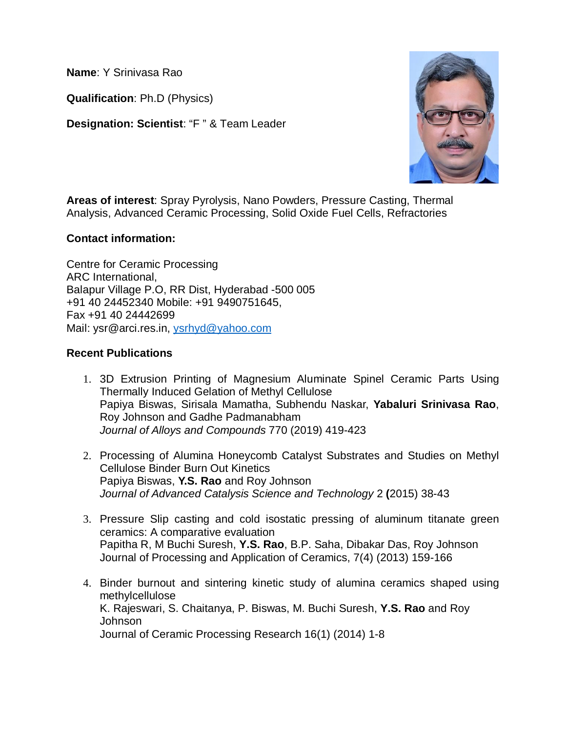**Name**: Y Srinivasa Rao

**Qualification**: Ph.D (Physics)

**Designation: Scientist**: "F " & Team Leader



**Areas of interest**: Spray Pyrolysis, Nano Powders, Pressure Casting, Thermal Analysis, Advanced Ceramic Processing, Solid Oxide Fuel Cells, Refractories

## **Contact information:**

Centre for Ceramic Processing ARC International, Balapur Village P.O, RR Dist, Hyderabad -500 005 +91 40 24452340 Mobile: +91 9490751645, Fax +91 40 24442699 Mail: ysr@arci.res.in, ysrhyd@yahoo.com

## **Recent Publications**

- 1. 3D Extrusion Printing of Magnesium Aluminate Spinel Ceramic Parts Using Thermally Induced Gelation of Methyl Cellulose Papiya Biswas, Sirisala Mamatha, Subhendu Naskar, **Yabaluri Srinivasa Rao**, Roy Johnson and Gadhe Padmanabham *Journal of Alloys and Compounds* 770 (2019) 419-423
- 2. Processing of Alumina Honeycomb Catalyst Substrates and Studies on Methyl Cellulose Binder Burn Out Kinetics Papiya Biswas, **Y.S. Rao** and Roy Johnson *Journal of Advanced Catalysis Science and Technology* 2 **(**2015) 38-43
- 3. Pressure Slip casting and cold isostatic pressing of aluminum titanate green ceramics: A comparative evaluation Papitha R, M Buchi Suresh, **Y.S. Rao**, B.P. Saha, Dibakar Das, Roy Johnson Journal of Processing and Application of Ceramics, 7(4) (2013) 159-166
- 4. Binder burnout and sintering kinetic study of alumina ceramics shaped using methylcellulose K. Rajeswari, S. Chaitanya, P. Biswas, M. Buchi Suresh, **Y.S. Rao** and Roy Johnson Journal of Ceramic Processing Research 16(1) (2014) 1-8